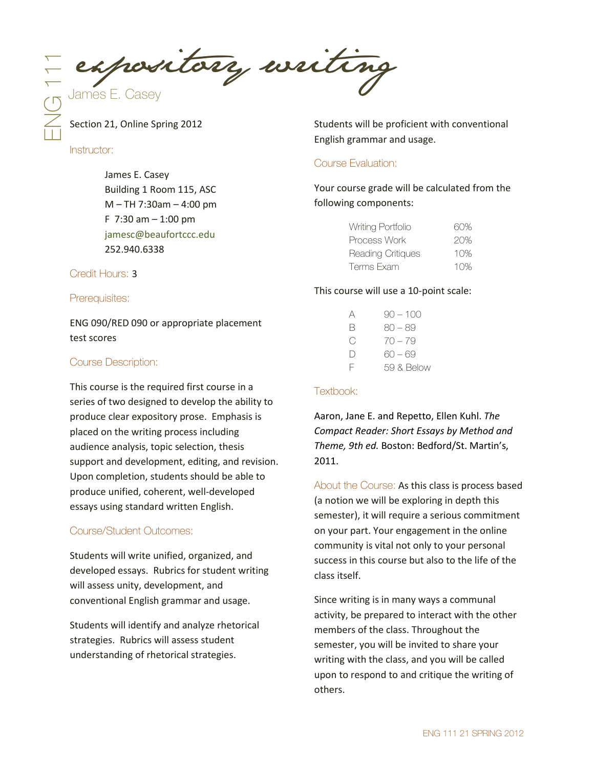$E = 1$  expository writing

Section 21, Online Spring 2012

Instructor:

James E. Casey Building 1 Room 115, ASC M – TH 7:30am – 4:00 pm F  $7:30$  am  $-1:00$  pm [jamesc@beaufortccc.edu](mailto:jamesc@beaufortccc.edu) 252.940.6338

Credit Hours: 3

Prerequisites:

ENG 090/RED 090 or appropriate placement test scores

## Course Description:

This course is the required first course in a series of two designed to develop the ability to produce clear expository prose. Emphasis is placed on the writing process including audience analysis, topic selection, thesis support and development, editing, and revision. Upon completion, students should be able to produce unified, coherent, well-developed essays using standard written English.

### Course/Student Outcomes:

Students will write unified, organized, and developed essays. Rubrics for student writing will assess unity, development, and conventional English grammar and usage.

Students will identify and analyze rhetorical strategies. Rubrics will assess student understanding of rhetorical strategies.

Students will be proficient with conventional English grammar and usage.

# Course Evaluation:

Your course grade will be calculated from the following components:

| Writing Portfolio        | 60% |
|--------------------------|-----|
| Process Work             | 20% |
| <b>Reading Critiques</b> | 10% |
| Terms Exam               | 10% |

### This course will use a 10-point scale:

| Α         | $90 - 100$ |
|-----------|------------|
| B         | $80 - 89$  |
| ⊖         | $70 - 79$  |
| $\vert$ ) | 60 — 69    |
| F         | 59 & Below |

### Textbook:

Aaron, Jane E. and Repetto, Ellen Kuhl. *The Compact Reader: Short Essays by Method and Theme, 9th ed.* Boston: Bedford/St. Martin's, 2011.

About the Course: As this class is process based (a notion we will be exploring in depth this semester), it will require a serious commitment on your part. Your engagement in the online community is vital not only to your personal success in this course but also to the life of the class itself.

Since writing is in many ways a communal activity, be prepared to interact with the other members of the class. Throughout the semester, you will be invited to share your writing with the class, and you will be called upon to respond to and critique the writing of others.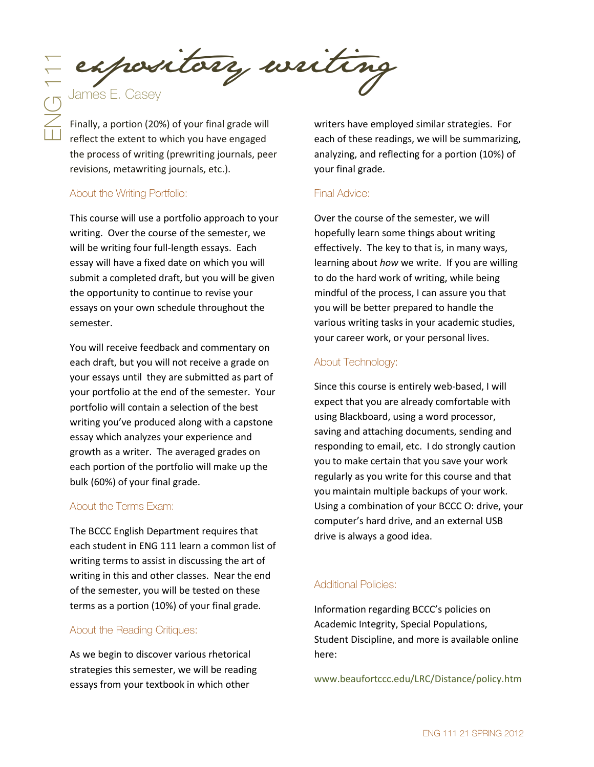Expository writing<br>
Sames E. Casey<br>
Finally, a portion (20%) of your final grade will<br>
Finally, a portion (20%) of your final grade will<br>
reflect the extent to which you have engaged exchanged and these read

Finally, a portion (20%) of your final grade will reflect the extent to which you have engaged the process of writing (prewriting journals, peer revisions, metawriting journals, etc.).

## About the Writing Portfolio:

This course will use a portfolio approach to your writing. Over the course of the semester, we will be writing four full-length essays. Each essay will have a fixed date on which you will submit a completed draft, but you will be given the opportunity to continue to revise your essays on your own schedule throughout the semester.

You will receive feedback and commentary on each draft, but you will not receive a grade on your essays until they are submitted as part of your portfolio at the end of the semester. Your portfolio will contain a selection of the best writing you've produced along with a capstone essay which analyzes your experience and growth as a writer. The averaged grades on each portion of the portfolio will make up the bulk (60%) of your final grade.

# About the Terms Exam:

The BCCC English Department requires that each student in ENG 111 learn a common list of writing terms to assist in discussing the art of writing in this and other classes. Near the end of the semester, you will be tested on these terms as a portion (10%) of your final grade.

### About the Reading Critiques:

As we begin to discover various rhetorical strategies this semester, we will be reading essays from your textbook in which other

writers have employed similar strategies. For each of these readings, we will be summarizing, analyzing, and reflecting for a portion (10%) of your final grade.

### Final Advice:

Over the course of the semester, we will hopefully learn some things about writing effectively. The key to that is, in many ways, learning about *how* we write. If you are willing to do the hard work of writing, while being mindful of the process, I can assure you that you will be better prepared to handle the various writing tasks in your academic studies, your career work, or your personal lives.

# About Technology:

Since this course is entirely web-based, I will expect that you are already comfortable with using Blackboard, using a word processor, saving and attaching documents, sending and responding to email, etc. I do strongly caution you to make certain that you save your work regularly as you write for this course and that you maintain multiple backups of your work. Using a combination of your BCCC O: drive, your computer's hard drive, and an external USB drive is always a good idea.

# Additional Policies:

Information regarding BCCC's policies on Academic Integrity, Special Populations, Student Discipline, and more is available online here:

[www.beaufortccc.edu/LRC/Distance/policy.htm](http://www.beaufortccc.edu/LRC/Distance/policy.htm)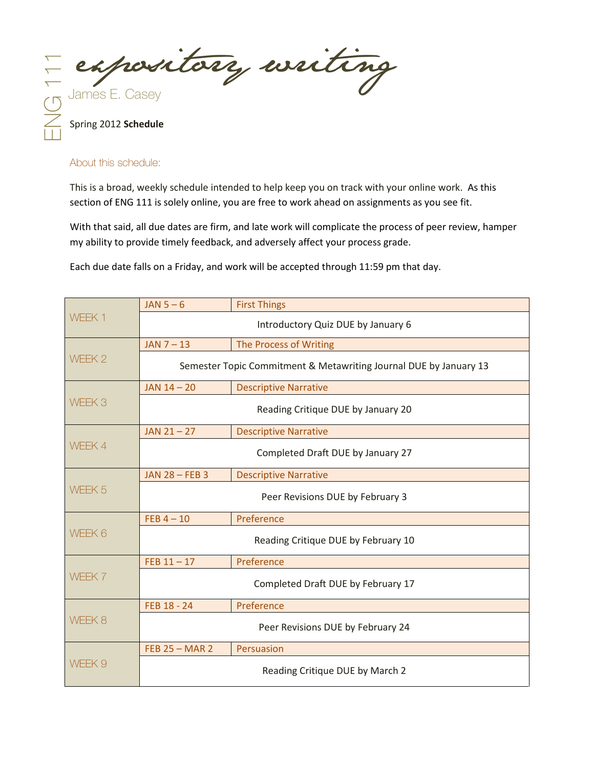E expository writing

Spring 2012 **Schedule**

### About this schedule:

This is a broad, weekly schedule intended to help keep you on track with your online work. As this section of ENG 111 is solely online, you are free to work ahead on assignments as you see fit.

With that said, all due dates are firm, and late work will complicate the process of peer review, hamper my ability to provide timely feedback, and adversely affect your process grade.

Each due date falls on a Friday, and work will be accepted through 11:59 pm that day.

|                                               | $JAN 5-6$<br><b>First Things</b>                                  |                                   |  |  |
|-----------------------------------------------|-------------------------------------------------------------------|-----------------------------------|--|--|
| WEEK 1                                        | Introductory Quiz DUE by January 6                                |                                   |  |  |
|                                               | $JAN 7 - 13$                                                      | The Process of Writing            |  |  |
| WEEK <sub>2</sub>                             | Semester Topic Commitment & Metawriting Journal DUE by January 13 |                                   |  |  |
|                                               | $JAN$ 14 - 20<br><b>Descriptive Narrative</b>                     |                                   |  |  |
| WEEK <sub>3</sub>                             | Reading Critique DUE by January 20                                |                                   |  |  |
|                                               | $JAN 21 - 27$                                                     | <b>Descriptive Narrative</b>      |  |  |
| WEEK 4                                        | Completed Draft DUE by January 27                                 |                                   |  |  |
|                                               | <b>JAN 28 - FEB 3</b>                                             | <b>Descriptive Narrative</b>      |  |  |
| WEEK <sub>5</sub>                             | Peer Revisions DUE by February 3                                  |                                   |  |  |
|                                               | FEB $4-10$                                                        | Preference                        |  |  |
| WEEK 6<br>Reading Critique DUE by February 10 |                                                                   |                                   |  |  |
|                                               | $FEB 11 - 17$                                                     | Preference                        |  |  |
| WEEK 7<br>Completed Draft DUE by February 17  |                                                                   |                                   |  |  |
|                                               | FEB 18 - 24                                                       | Preference                        |  |  |
| WEEK 8                                        |                                                                   | Peer Revisions DUE by February 24 |  |  |
|                                               | <b>FEB 25 - MAR 2</b>                                             | Persuasion                        |  |  |
| WFFK 9                                        |                                                                   | Reading Critique DUE by March 2   |  |  |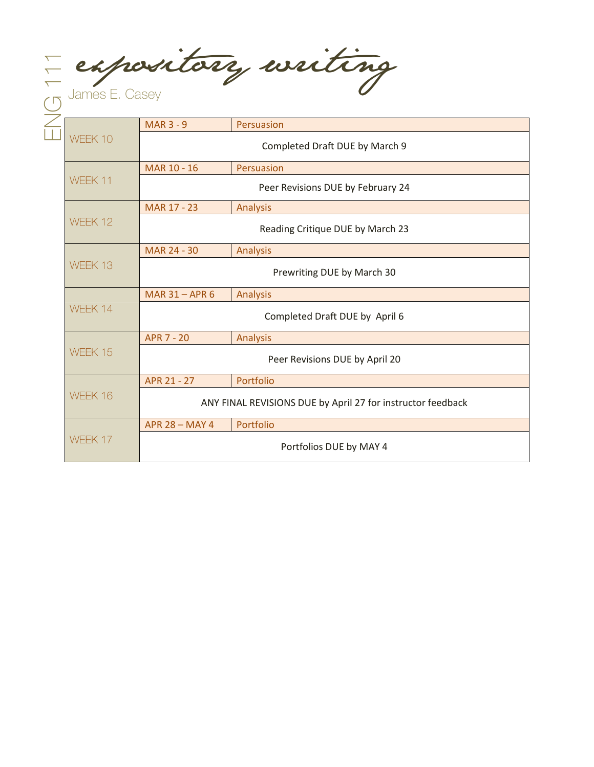E expository writing

|                                           | <b>MAR 3 - 9</b>                                            | Persuasion      |  |  |
|-------------------------------------------|-------------------------------------------------------------|-----------------|--|--|
| WEEK 10                                   | Completed Draft DUE by March 9                              |                 |  |  |
|                                           | MAR 10 - 16                                                 | Persuasion      |  |  |
|                                           | WEEK 11<br>Peer Revisions DUE by February 24                |                 |  |  |
|                                           | MAR 17 - 23                                                 | Analysis        |  |  |
| WEEK 12                                   | Reading Critique DUE by March 23                            |                 |  |  |
|                                           | MAR 24 - 30                                                 | Analysis        |  |  |
| WEEK 13                                   | Prewriting DUE by March 30                                  |                 |  |  |
|                                           | MAR 31 - APR 6                                              | <b>Analysis</b> |  |  |
| WEEK 14                                   | Completed Draft DUE by April 6                              |                 |  |  |
|                                           | <b>APR 7 - 20</b>                                           | Analysis        |  |  |
| WEEK 15<br>Peer Revisions DUE by April 20 |                                                             |                 |  |  |
|                                           | APR 21 - 27                                                 | Portfolio       |  |  |
| WEEK 16                                   | ANY FINAL REVISIONS DUE by April 27 for instructor feedback |                 |  |  |
|                                           | <b>APR 28 - MAY 4</b>                                       | Portfolio       |  |  |
| WFFK 17                                   | Portfolios DUE by MAY 4                                     |                 |  |  |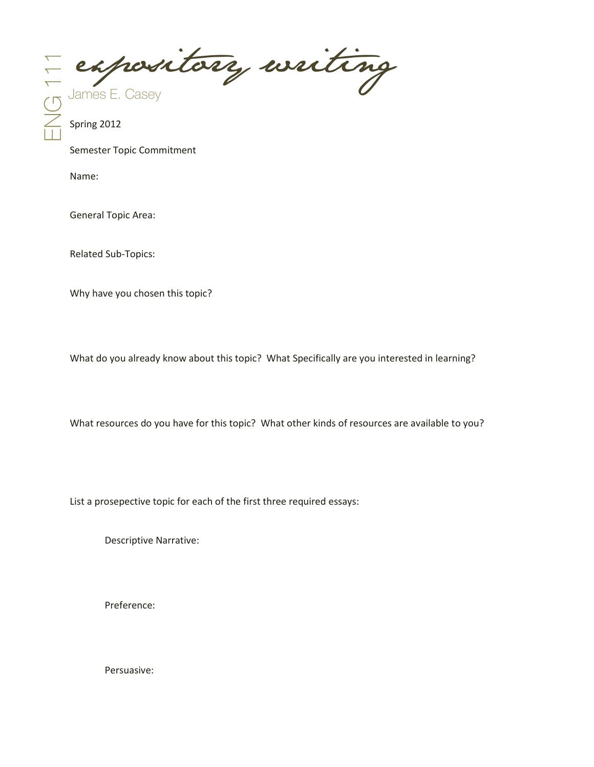E expository writing

Semester Topic Commitment

Name:

General Topic Area:

Related Sub-Topics:

Why have you chosen this topic?

What do you already know about this topic? What Specifically are you interested in learning?

What resources do you have for this topic? What other kinds of resources are available to you?

List a prosepective topic for each of the first three required essays:

Descriptive Narrative:

Preference:

Persuasive: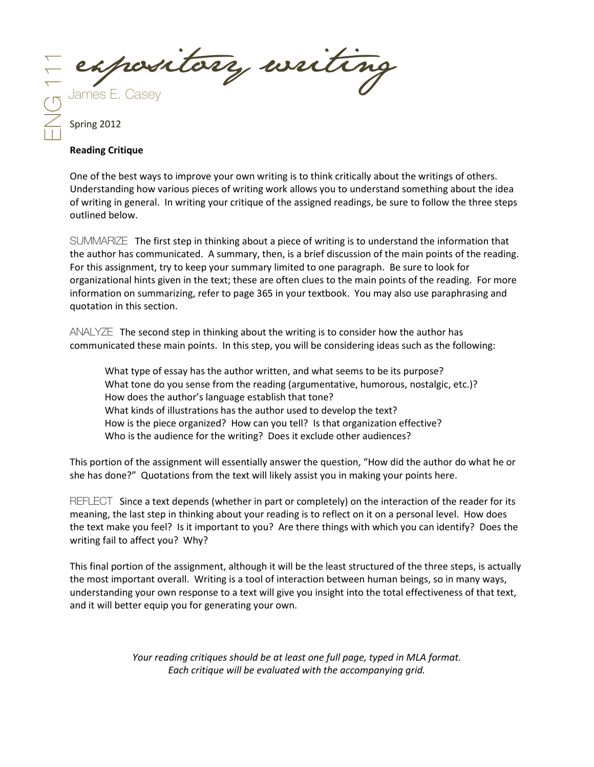E expository writing

#### **Reading Critique**

One of the best ways to improve your own writing is to think critically about the writings of others. Understanding how various pieces of writing work allows you to understand something about the idea of writing in general. In writing your critique of the assigned readings, be sure to follow the three steps outlined below.

SUMMARIZE The first step in thinking about a piece of writing is to understand the information that the author has communicated. A summary, then, is a brief discussion of the main points of the reading. For this assignment, try to keep your summary limited to one paragraph. Be sure to look for organizational hints given in the text; these are often clues to the main points of the reading. For more information on summarizing, refer to page 365 in your textbook. You may also use paraphrasing and quotation in this section.

ANALYZEThe second step in thinking about the writing is to consider how the author has communicated these main points. In this step, you will be considering ideas such as the following:

What type of essay has the author written, and what seems to be its purpose? What tone do you sense from the reading (argumentative, humorous, nostalgic, etc.)? How does the author's language establish that tone? What kinds of illustrations has the author used to develop the text? How is the piece organized? How can you tell? Is that organization effective? Who is the audience for the writing? Does it exclude other audiences?

This portion of the assignment will essentially answer the question, "How did the author do what he or she has done?" Quotations from the text will likely assist you in making your points here.

REFLECTSince a text depends (whether in part or completely) on the interaction of the reader for its meaning, the last step in thinking about your reading is to reflect on it on a personal level. How does the text make you feel? Is it important to you? Are there things with which you can identify? Does the writing fail to affect you? Why?

This final portion of the assignment, although it will be the least structured of the three steps, is actually the most important overall. Writing is a tool of interaction between human beings, so in many ways, understanding your own response to a text will give you insight into the total effectiveness of that text, and it will better equip you for generating your own.

> *Your reading critiques should be at least one full page, typed in MLA format. Each critique will be evaluated with the accompanying grid.*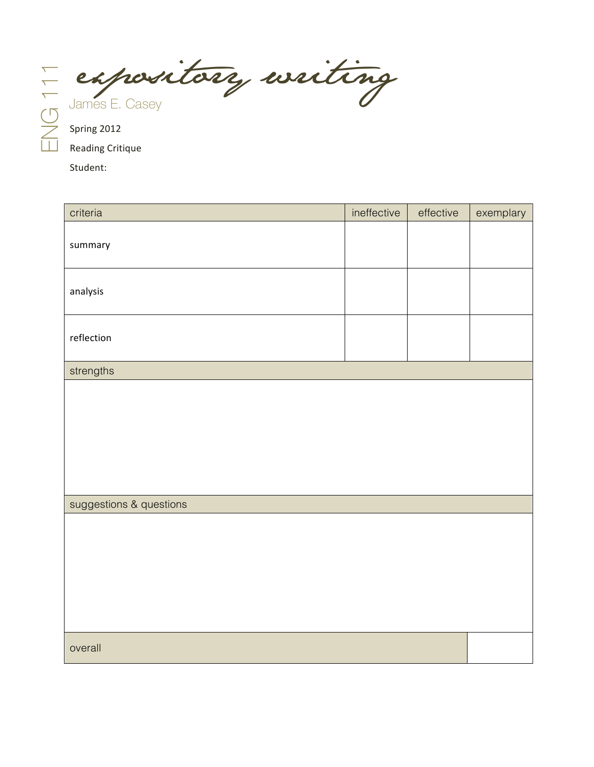E expository writing

Reading Critique 

Student: 

| criteria                | ineffective | effective | exemplary |
|-------------------------|-------------|-----------|-----------|
| summary                 |             |           |           |
| analysis                |             |           |           |
| reflection              |             |           |           |
| strengths               |             |           |           |
|                         |             |           |           |
| suggestions & questions |             |           |           |
|                         |             |           |           |
| overall                 |             |           |           |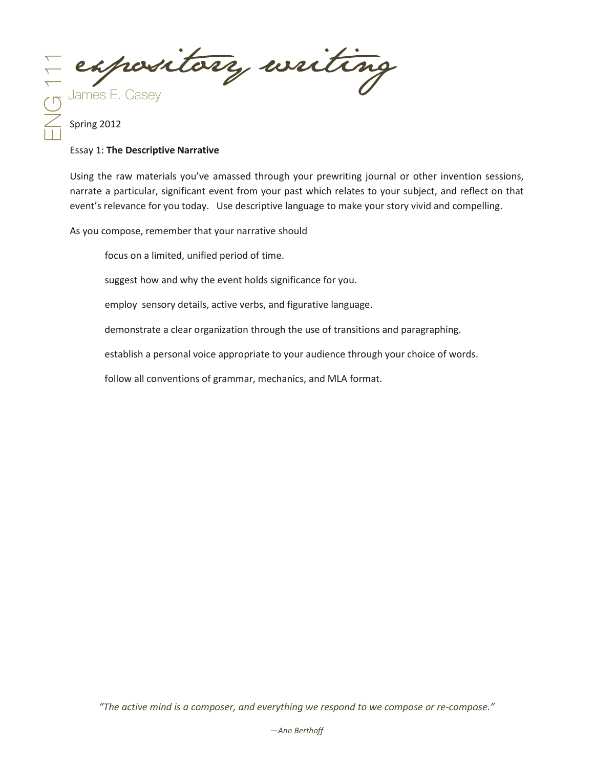E expository writing

#### Essay 1: **The Descriptive Narrative**

Using the raw materials you've amassed through your prewriting journal or other invention sessions, narrate a particular, significant event from your past which relates to your subject, and reflect on that event's relevance for you today. Use descriptive language to make your story vivid and compelling.

As you compose, remember that your narrative should

focus on a limited, unified period of time.

suggest how and why the event holds significance for you.

employ sensory details, active verbs, and figurative language.

demonstrate a clear organization through the use of transitions and paragraphing.

establish a personal voice appropriate to your audience through your choice of words.

follow all conventions of grammar, mechanics, and MLA format.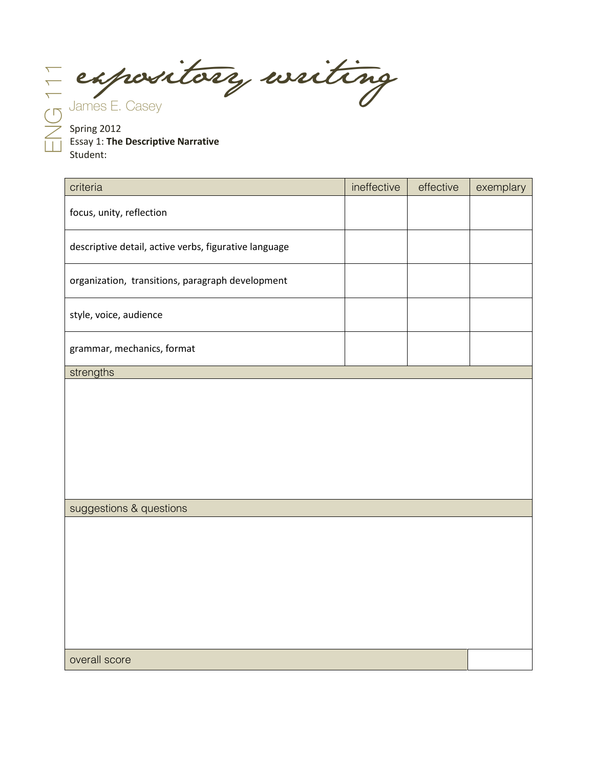E expository writing

Spring 2012 Essay 1: **The Descriptive Narrative** Student:

| criteria                                              | ineffective | effective | exemplary |
|-------------------------------------------------------|-------------|-----------|-----------|
| focus, unity, reflection                              |             |           |           |
| descriptive detail, active verbs, figurative language |             |           |           |
| organization, transitions, paragraph development      |             |           |           |
| style, voice, audience                                |             |           |           |
| grammar, mechanics, format                            |             |           |           |
| strengths                                             |             |           |           |
| suggestions & questions                               |             |           |           |
|                                                       |             |           |           |
|                                                       |             |           |           |
|                                                       |             |           |           |
|                                                       |             |           |           |
| overall score                                         |             |           |           |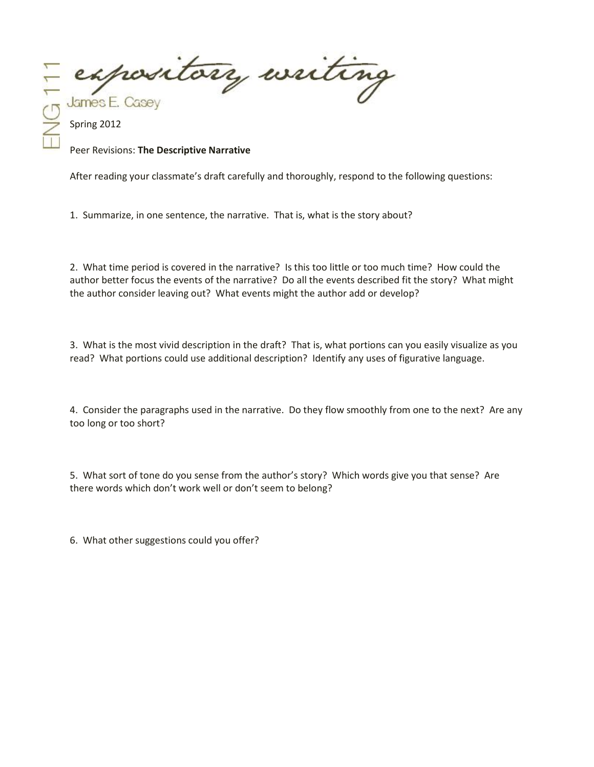expository writing James E. Casey

Peer Revisions: **The Descriptive Narrative**

After reading your classmate's draft carefully and thoroughly, respond to the following questions:

1. Summarize, in one sentence, the narrative. That is, what is the story about?

2. What time period is covered in the narrative? Is this too little or too much time? How could the author better focus the events of the narrative? Do all the events described fit the story? What might the author consider leaving out? What events might the author add or develop?

3. What is the most vivid description in the draft? That is, what portions can you easily visualize as you read? What portions could use additional description? Identify any uses of figurative language.

4. Consider the paragraphs used in the narrative. Do they flow smoothly from one to the next? Are any too long or too short?

5. What sort of tone do you sense from the author's story? Which words give you that sense? Are there words which don't work well or don't seem to belong?

6. What other suggestions could you offer?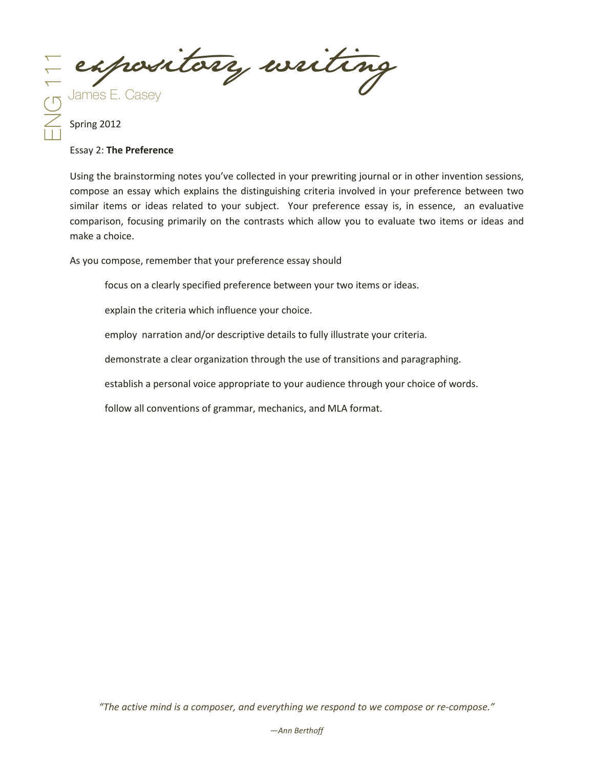E expository writing

#### Essay 2: **The Preference**

Using the brainstorming notes you've collected in your prewriting journal or in other invention sessions, compose an essay which explains the distinguishing criteria involved in your preference between two similar items or ideas related to your subject. Your preference essay is, in essence, an evaluative comparison, focusing primarily on the contrasts which allow you to evaluate two items or ideas and make a choice.

As you compose, remember that your preference essay should

focus on a clearly specified preference between your two items or ideas.

explain the criteria which influence your choice.

employ narration and/or descriptive details to fully illustrate your criteria.

demonstrate a clear organization through the use of transitions and paragraphing.

establish a personal voice appropriate to your audience through your choice of words.

follow all conventions of grammar, mechanics, and MLA format.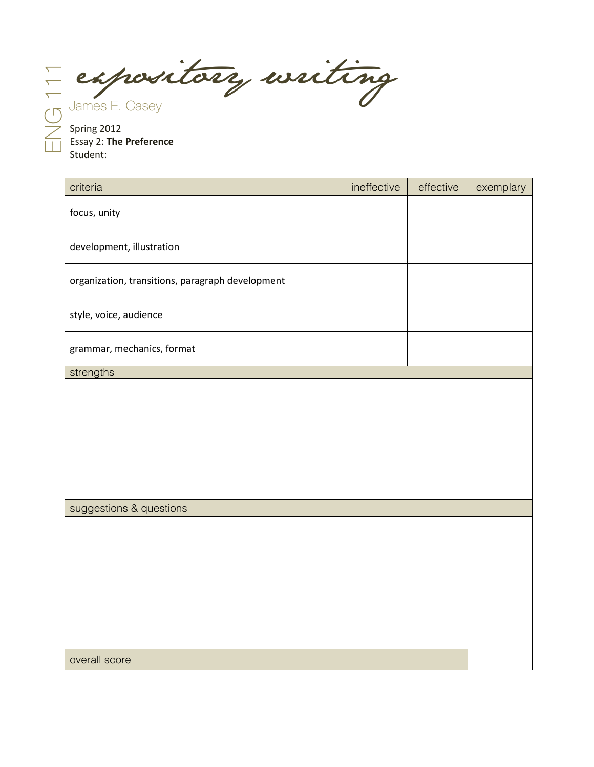El expository writing

Spring 2012 Essay 2: **The Preference** Student:

| criteria                                         | ineffective | effective | exemplary |
|--------------------------------------------------|-------------|-----------|-----------|
| focus, unity                                     |             |           |           |
| development, illustration                        |             |           |           |
| organization, transitions, paragraph development |             |           |           |
| style, voice, audience                           |             |           |           |
| grammar, mechanics, format                       |             |           |           |
| strengths                                        |             |           |           |
| suggestions & questions                          |             |           |           |
|                                                  |             |           |           |
| overall score                                    |             |           |           |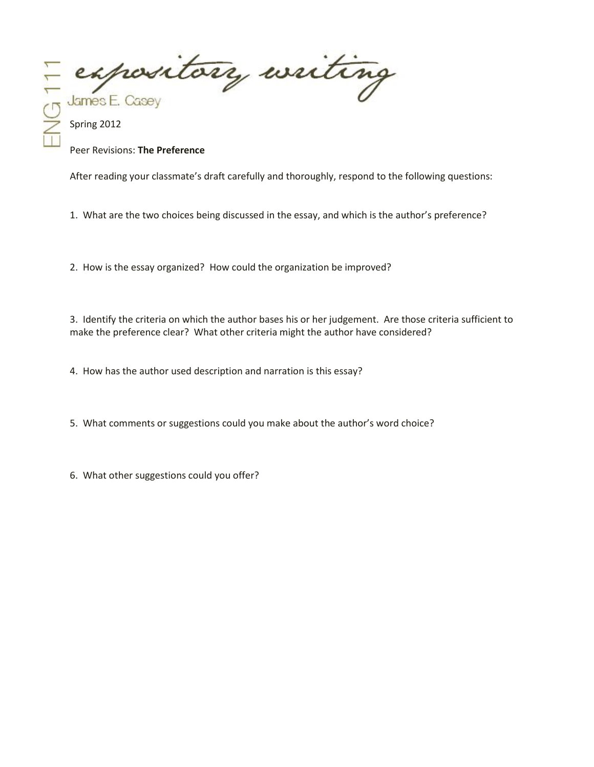expository writing James E. Casey

#### Peer Revisions: **The Preference**

After reading your classmate's draft carefully and thoroughly, respond to the following questions:

1. What are the two choices being discussed in the essay, and which is the author's preference?

2. How is the essay organized? How could the organization be improved?

3. Identify the criteria on which the author bases his or her judgement. Are those criteria sufficient to make the preference clear? What other criteria might the author have considered?

4. How has the author used description and narration is this essay?

5. What comments or suggestions could you make about the author's word choice?

6. What other suggestions could you offer?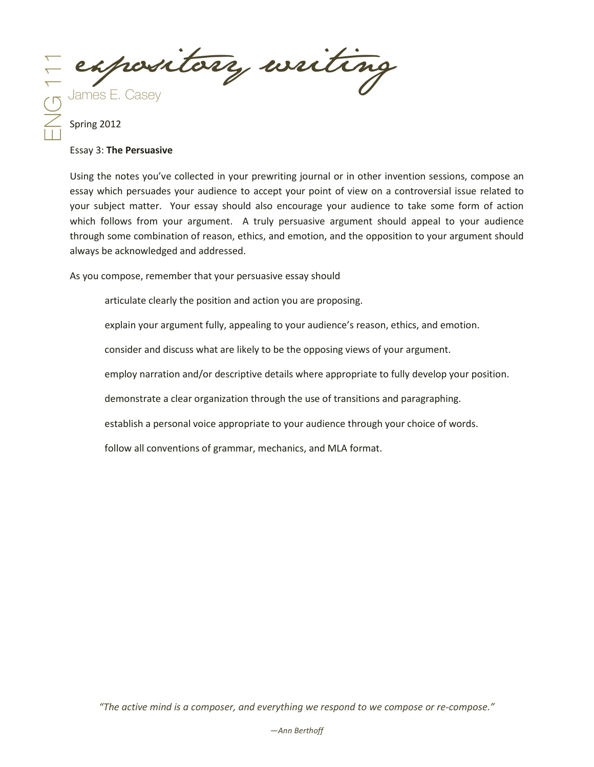E expository writing

#### Essay 3: **The Persuasive**

Using the notes you've collected in your prewriting journal or in other invention sessions, compose an essay which persuades your audience to accept your point of view on a controversial issue related to your subject matter. Your essay should also encourage your audience to take some form of action which follows from your argument. A truly persuasive argument should appeal to your audience through some combination of reason, ethics, and emotion, and the opposition to your argument should always be acknowledged and addressed.

As you compose, remember that your persuasive essay should

articulate clearly the position and action you are proposing.

explain your argument fully, appealing to your audience's reason, ethics, and emotion.

consider and discuss what are likely to be the opposing views of your argument.

employ narration and/or descriptive details where appropriate to fully develop your position.

demonstrate a clear organization through the use of transitions and paragraphing.

establish a personal voice appropriate to your audience through your choice of words.

follow all conventions of grammar, mechanics, and MLA format.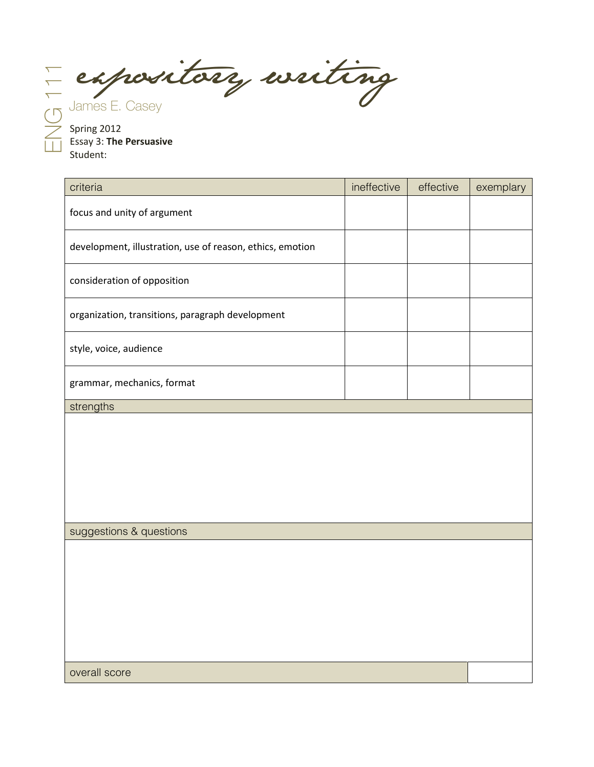El expository writing

Spring 2012 Essay 3: **The Persuasive** Student:

| criteria                                                  | ineffective | effective | exemplary |
|-----------------------------------------------------------|-------------|-----------|-----------|
| focus and unity of argument                               |             |           |           |
| development, illustration, use of reason, ethics, emotion |             |           |           |
| consideration of opposition                               |             |           |           |
| organization, transitions, paragraph development          |             |           |           |
| style, voice, audience                                    |             |           |           |
| grammar, mechanics, format                                |             |           |           |
| strengths                                                 |             |           |           |
|                                                           |             |           |           |
| suggestions & questions                                   |             |           |           |
|                                                           |             |           |           |

overall score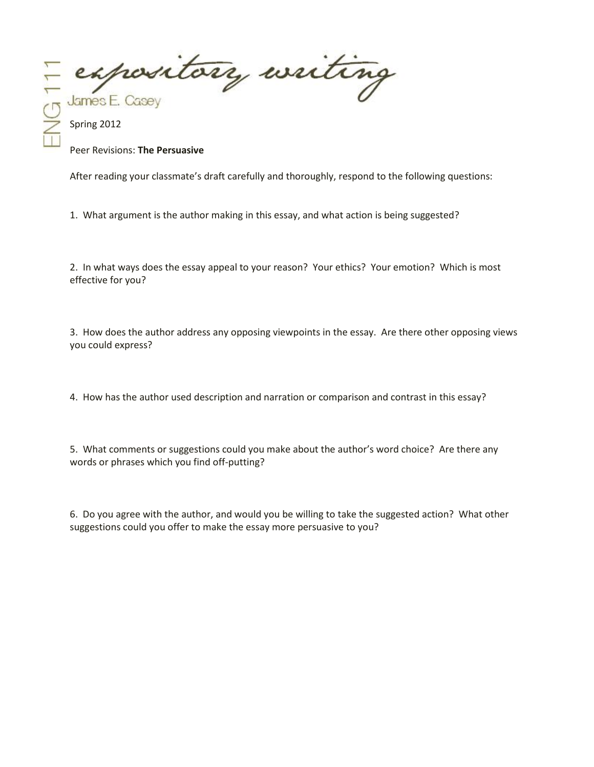expository writing James E. Casey

#### Peer Revisions: **The Persuasive**

After reading your classmate's draft carefully and thoroughly, respond to the following questions:

1. What argument is the author making in this essay, and what action is being suggested?

2. In what ways does the essay appeal to your reason? Your ethics? Your emotion? Which is most effective for you?

3. How does the author address any opposing viewpoints in the essay. Are there other opposing views you could express?

4. How has the author used description and narration or comparison and contrast in this essay?

5. What comments or suggestions could you make about the author's word choice? Are there any words or phrases which you find off-putting?

6. Do you agree with the author, and would you be willing to take the suggested action? What other suggestions could you offer to make the essay more persuasive to you?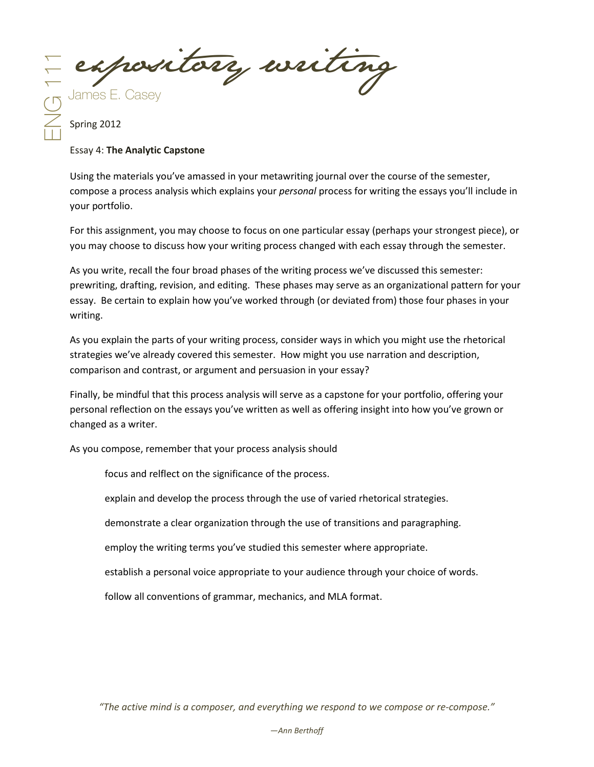E expository writing

### Essay 4: **The Analytic Capstone**

Using the materials you've amassed in your metawriting journal over the course of the semester, compose a process analysis which explains your *personal* process for writing the essays you'll include in your portfolio.

For this assignment, you may choose to focus on one particular essay (perhaps your strongest piece), or you may choose to discuss how your writing process changed with each essay through the semester.

As you write, recall the four broad phases of the writing process we've discussed this semester: prewriting, drafting, revision, and editing. These phases may serve as an organizational pattern for your essay. Be certain to explain how you've worked through (or deviated from) those four phases in your writing.

As you explain the parts of your writing process, consider ways in which you might use the rhetorical strategies we've already covered this semester. How might you use narration and description, comparison and contrast, or argument and persuasion in your essay?

Finally, be mindful that this process analysis will serve as a capstone for your portfolio, offering your personal reflection on the essays you've written as well as offering insight into how you've grown or changed as a writer.

As you compose, remember that your process analysis should

focus and relflect on the significance of the process.

explain and develop the process through the use of varied rhetorical strategies.

demonstrate a clear organization through the use of transitions and paragraphing.

employ the writing terms you've studied this semester where appropriate.

establish a personal voice appropriate to your audience through your choice of words.

follow all conventions of grammar, mechanics, and MLA format.

*"The active mind is a composer, and everything we respond to we compose or re-compose."*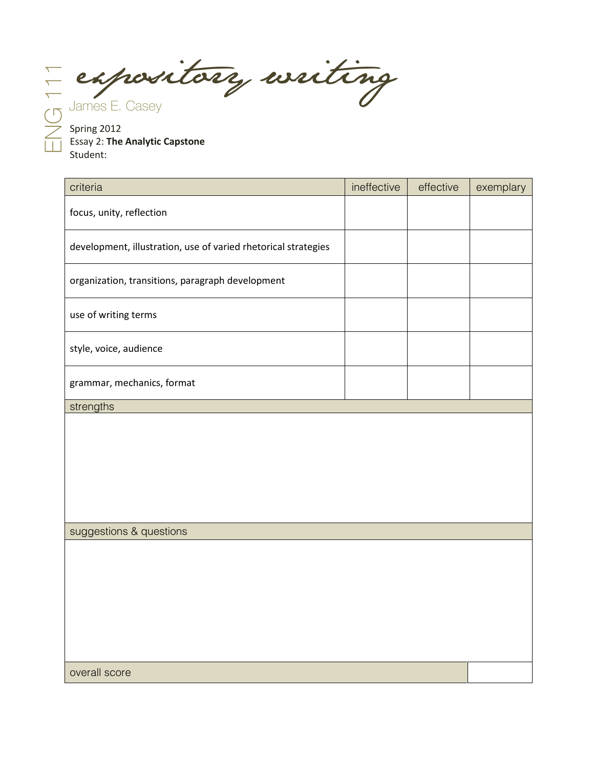E expository writing

Spring 2012 Essay 2: **The Analytic Capstone** Student:

| criteria                                                       | ineffective | effective | exemplary |
|----------------------------------------------------------------|-------------|-----------|-----------|
| focus, unity, reflection                                       |             |           |           |
| development, illustration, use of varied rhetorical strategies |             |           |           |
| organization, transitions, paragraph development               |             |           |           |
| use of writing terms                                           |             |           |           |
| style, voice, audience                                         |             |           |           |
| grammar, mechanics, format                                     |             |           |           |
| strengths                                                      |             |           |           |
|                                                                |             |           |           |
| suggestions & questions                                        |             |           |           |
|                                                                |             |           |           |

overall score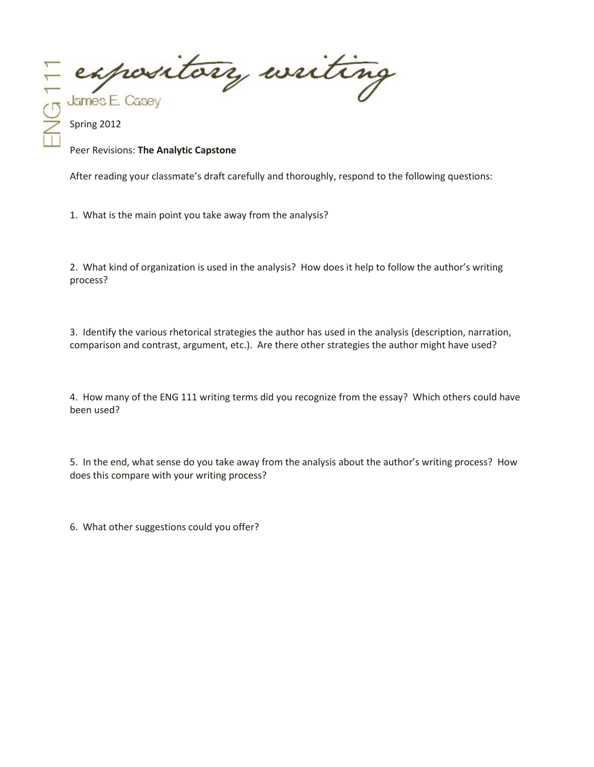expository writing James E. Casey

Peer Revisions: **The Analytic Capstone**

After reading your classmate's draft carefully and thoroughly, respond to the following questions:

1. What is the main point you take away from the analysis?

2. What kind of organization is used in the analysis? How does it help to follow the author's writing process?

3. Identify the various rhetorical strategies the author has used in the analysis (description, narration, comparison and contrast, argument, etc.). Are there other strategies the author might have used?

4. How many of the ENG 111 writing terms did you recognize from the essay? Which others could have been used?

5. In the end, what sense do you take away from the analysis about the author's writing process? How does this compare with your writing process?

6. What other suggestions could you offer?